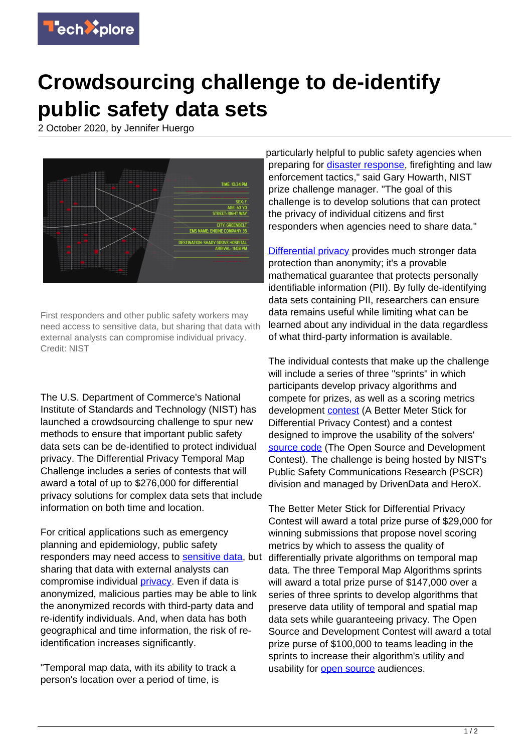

## **Crowdsourcing challenge to de-identify public safety data sets**

2 October 2020, by Jennifer Huergo



First responders and other public safety workers may need access to sensitive data, but sharing that data with external analysts can compromise individual privacy. Credit: NIST

The U.S. Department of Commerce's National Institute of Standards and Technology (NIST) has launched a crowdsourcing challenge to spur new methods to ensure that important public safety data sets can be de-identified to protect individual privacy. The Differential Privacy Temporal Map Challenge includes a series of contests that will award a total of up to \$276,000 for differential privacy solutions for complex data sets that include information on both time and location.

For critical applications such as emergency planning and epidemiology, public safety responders may need access to [sensitive data,](https://techxplore.com/tags/sensitive+data/) but sharing that data with external analysts can compromise individual *privacy*. Even if data is anonymized, malicious parties may be able to link the anonymized records with third-party data and re-identify individuals. And, when data has both geographical and time information, the risk of reidentification increases significantly.

"Temporal map data, with its ability to track a person's location over a period of time, is

particularly helpful to public safety agencies when preparing for [disaster response,](https://techxplore.com/tags/disaster+response/) firefighting and law enforcement tactics," said Gary Howarth, NIST prize challenge manager. "The goal of this challenge is to develop solutions that can protect the privacy of individual citizens and first responders when agencies need to share data."

[Differential privacy](https://www.nist.gov/video/what-differential-privacy) provides much stronger data protection than anonymity; it's a provable mathematical guarantee that protects personally identifiable information (PII). By fully de-identifying data sets containing PII, researchers can ensure data remains useful while limiting what can be learned about any individual in the data regardless of what third-party information is available.

The individual contests that make up the challenge will include a series of three "sprints" in which participants develop privacy algorithms and compete for prizes, as well as a scoring metrics development [contest](https://techxplore.com/tags/contest/) (A Better Meter Stick for Differential Privacy Contest) and a contest designed to improve the usability of the solvers' [source code](https://techxplore.com/tags/source+code/) (The Open Source and Development Contest). The challenge is being hosted by NIST's Public Safety Communications Research (PSCR) division and managed by DrivenData and HeroX.

The Better Meter Stick for Differential Privacy Contest will award a total prize purse of \$29,000 for winning submissions that propose novel scoring metrics by which to assess the quality of differentially private algorithms on temporal map data. The three Temporal Map Algorithms sprints will award a total prize purse of \$147,000 over a series of three sprints to develop algorithms that preserve data utility of temporal and spatial map data sets while guaranteeing privacy. The Open Source and Development Contest will award a total prize purse of \$100,000 to teams leading in the sprints to increase their algorithm's utility and usability for [open source](https://techxplore.com/tags/open+source/) audiences.